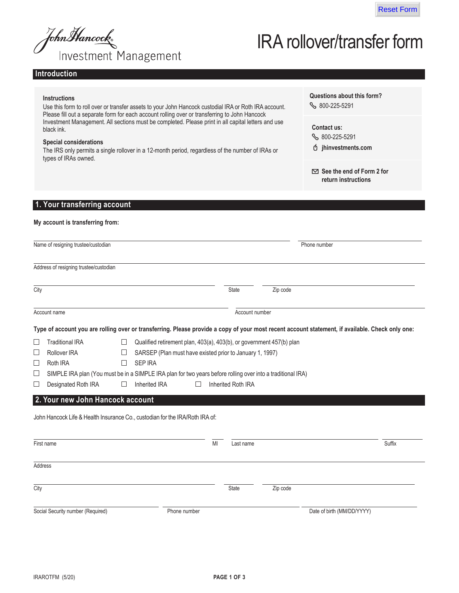

John Hancock<br>Investment Management

# IRA rollover/transfer form

## **Introduction**

|         | <b>Instructions</b><br>Use this form to roll over or transfer assets to your John Hancock custodial IRA or Roth IRA account.<br>Please fill out a separate form for each account rolling over or transferring to John Hancock                                                 |         |                                                                      |               |                    |          | Questions about this form?<br>$\%$ 800-225-5291                                                                                                  |        |
|---------|-------------------------------------------------------------------------------------------------------------------------------------------------------------------------------------------------------------------------------------------------------------------------------|---------|----------------------------------------------------------------------|---------------|--------------------|----------|--------------------------------------------------------------------------------------------------------------------------------------------------|--------|
|         | Investment Management. All sections must be completed. Please print in all capital letters and use<br>black ink.<br><b>Special considerations</b><br>The IRS only permits a single rollover in a 12-month period, regardless of the number of IRAs or<br>types of IRAs owned. |         |                                                                      |               |                    |          | <b>Contact us:</b><br>§ 800-225-5291<br>Ó jhinvestments.com                                                                                      |        |
|         |                                                                                                                                                                                                                                                                               |         |                                                                      |               |                    |          | $\boxtimes$ See the end of Form 2 for<br>return instructions                                                                                     |        |
|         | 1. Your transferring account                                                                                                                                                                                                                                                  |         |                                                                      |               |                    |          |                                                                                                                                                  |        |
|         | My account is transferring from:                                                                                                                                                                                                                                              |         |                                                                      |               |                    |          |                                                                                                                                                  |        |
|         | Name of resigning trustee/custodian                                                                                                                                                                                                                                           |         |                                                                      |               |                    |          | Phone number                                                                                                                                     |        |
|         | Address of resigning trustee/custodian                                                                                                                                                                                                                                        |         |                                                                      |               |                    |          |                                                                                                                                                  |        |
| City    |                                                                                                                                                                                                                                                                               |         |                                                                      |               | <b>State</b>       | Zip code |                                                                                                                                                  |        |
|         | Account name                                                                                                                                                                                                                                                                  |         |                                                                      |               | Account number     |          |                                                                                                                                                  |        |
|         |                                                                                                                                                                                                                                                                               |         |                                                                      |               |                    |          | Type of account you are rolling over or transferring. Please provide a copy of your most recent account statement, if available. Check only one: |        |
| $\Box$  | <b>Traditional IRA</b>                                                                                                                                                                                                                                                        | $\Box$  | Qualified retirement plan, 403(a), 403(b), or government 457(b) plan |               |                    |          |                                                                                                                                                  |        |
| ⊔       | <b>Rollover IRA</b>                                                                                                                                                                                                                                                           |         | SARSEP (Plan must have existed prior to January 1, 1997)             |               |                    |          |                                                                                                                                                  |        |
| ⊔       | Roth IRA                                                                                                                                                                                                                                                                      | $\perp$ | <b>SEP IRA</b>                                                       |               |                    |          |                                                                                                                                                  |        |
| $\Box$  | SIMPLE IRA plan (You must be in a SIMPLE IRA plan for two years before rolling over into a traditional IRA)                                                                                                                                                                   |         |                                                                      |               |                    |          |                                                                                                                                                  |        |
| $\Box$  | Designated Roth IRA                                                                                                                                                                                                                                                           |         | Inherited IRA                                                        |               | Inherited Roth IRA |          |                                                                                                                                                  |        |
|         | 2. Your new John Hancock account                                                                                                                                                                                                                                              |         |                                                                      |               |                    |          |                                                                                                                                                  |        |
|         |                                                                                                                                                                                                                                                                               |         |                                                                      |               |                    |          |                                                                                                                                                  |        |
|         | John Hancock Life & Health Insurance Co., custodian for the IRA/Roth IRA of:                                                                                                                                                                                                  |         |                                                                      |               |                    |          |                                                                                                                                                  |        |
|         |                                                                                                                                                                                                                                                                               |         |                                                                      |               |                    |          |                                                                                                                                                  |        |
|         | First name                                                                                                                                                                                                                                                                    |         |                                                                      | $\mathsf{MI}$ | Last name          |          |                                                                                                                                                  | Suffix |
| Address |                                                                                                                                                                                                                                                                               |         |                                                                      |               |                    |          |                                                                                                                                                  |        |
| City    |                                                                                                                                                                                                                                                                               |         |                                                                      |               | State              | Zip code |                                                                                                                                                  |        |
|         | Social Security number (Required)                                                                                                                                                                                                                                             |         | Phone number                                                         |               |                    |          | Date of birth (MM/DD/YYYY)                                                                                                                       |        |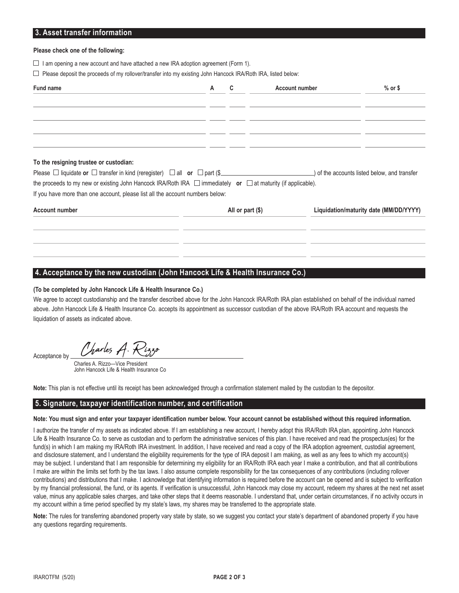## **3. Asset transfer information**

#### **Please check one of the following:**

- $\Box$  I am opening a new account and have attached a new IRA adoption agreement (Form 1).
- $\Box$  Please deposit the proceeds of my rollover/transfer into my existing John Hancock IRA/Roth IRA, listed below:

| Fund name                                                                                                              | A | <b>Account number</b> | $%$ or \$                                    |
|------------------------------------------------------------------------------------------------------------------------|---|-----------------------|----------------------------------------------|
|                                                                                                                        |   |                       |                                              |
|                                                                                                                        |   |                       |                                              |
|                                                                                                                        |   |                       |                                              |
|                                                                                                                        |   |                       |                                              |
| To the resigning trustee or custodian:                                                                                 |   |                       |                                              |
| Please $\Box$ liquidate or $\Box$ transfer in kind (reregister) $\Box$ all or $\Box$ part (\$                          |   |                       | ) of the accounts listed below, and transfer |
| the proceeds to my new or existing John Hancock IRA/Roth IRA $\Box$ immediately or $\Box$ at maturity (if applicable). |   |                       |                                              |
| If you have more than one account, please list all the account numbers below:                                          |   |                       |                                              |

| <b>Account number</b> | All or part $(\$)$ | Liquidation/maturity date (MM/DD/YYYY) |
|-----------------------|--------------------|----------------------------------------|
|                       |                    |                                        |
|                       |                    |                                        |
|                       |                    |                                        |
|                       |                    |                                        |
|                       |                    |                                        |

### **4. Acceptance by the new custodian (John Hancock Life & Health Insurance Co.)**

#### **(To be completed by John Hancock Life & Health Insurance Co.)**

We agree to accept custodianship and the transfer described above for the John Hancock IRA/Roth IRA plan established on behalf of the individual named above. John Hancock Life & Health Insurance Co. accepts its appointment as successor custodian of the above IRA/Roth IRA account and requests the liquidation of assets as indicated above.

Charles A Acceptance by

 Charles A. Rizzo—Vice President John Hancock Life & Health Insurance Co

Note: This plan is not effective until its receipt has been acknowledged through a confirmation statement mailed by the custodian to the depositor.

### **5. Signature, taxpayer identification number, and certification**

#### Note: You must sign and enter your taxpayer identification number below. Your account cannot be established without this required information.

I authorize the transfer of my assets as indicated above. If I am establishing a new account, I hereby adopt this IRA/Roth IRA plan, appointing John Hancock Life & Health Insurance Co. to serve as custodian and to perform the administrative services of this plan. I have received and read the prospectus(es) for the fund(s) in which I am making my IRA/Roth IRA investment. In addition, I have received and read a copy of the IRA adoption agreement, custodial agreement, and disclosure statement, and I understand the eligibility requirements for the type of IRA deposit I am making, as well as any fees to which my account(s) may be subject. I understand that I am responsible for determining my eligibility for an IRA/Roth IRA each year I make a contribution, and that all contributions I make are within the limits set forth by the tax laws. I also assume complete responsibility for the tax consequences of any contributions (including rollover contributions) and distributions that I make. I acknowledge that identifying information is required before the account can be opened and is subject to verification by my financial professional, the fund, or its agents. If verification is unsuccessful, John Hancock may close my account, redeem my shares at the next net asset value, minus anv applicable sales charges, and take other steps that it deems reasonable. I understand that, under certain circumstances, if no activity occurs in my account within a time period specified by my state's laws, my shares may be transferred to the appropriate state.

Note: The rules for transferring abandoned property vary state by state, so we suggest you contact your state's department of abandoned property if you have any questions regarding requirements.